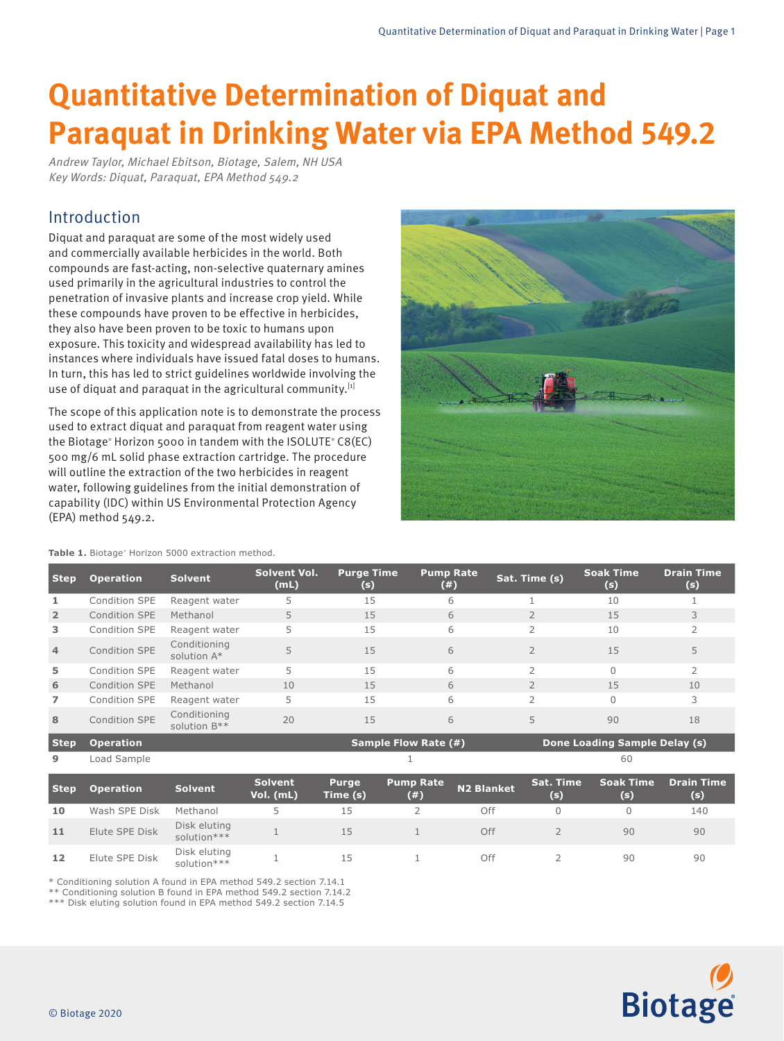# **Quantitative Determination of Diquat and Paraquat in Drinking Water via EPA Method 549.2**

Andrew Taylor, Michael Ebitson, Biotage, Salem, NH USA Key Words: Diquat, Paraquat, EPA Method 549.2

# Introduction

Diquat and paraquat are some of the most widely used and commercially available herbicides in the world. Both compounds are fast-acting, non-selective quaternary amines used primarily in the agricultural industries to control the penetration of invasive plants and increase crop yield. While these compounds have proven to be effective in herbicides, they also have been proven to be toxic to humans upon exposure. This toxicity and widespread availability has led to instances where individuals have issued fatal doses to humans. In turn, this has led to strict guidelines worldwide involving the use of diquat and paraquat in the agricultural community. $[1]$ 

The scope of this application note is to demonstrate the process used to extract diquat and paraquat from reagent water using the Biotage® Horizon 5000 in tandem with the ISOLUTE ® C8(EC) 500 mg/6 mL solid phase extraction cartridge. The procedure will outline the extraction of the two herbicides in reagent water, following guidelines from the initial demonstration of capability (IDC) within US Environmental Protection Agency (EPA) method 549.2.



**Table 1.** Biotage<sup>®</sup> Horizon 5000 extraction method.

| <b>Step</b>    | <b>Operation</b> | <b>Solvent</b>                 | Solvent Vol.<br>(mL) | <b>Purge Time</b><br>(s)    | <b>Pump Rate</b><br>(# ) | Sat. Time (s)            | <b>Soak Time</b><br>(s)       | <b>Drain Time</b><br>(s) |
|----------------|------------------|--------------------------------|----------------------|-----------------------------|--------------------------|--------------------------|-------------------------------|--------------------------|
| 1              | Condition SPE    | Reagent water                  | 5                    | 15                          | 6                        |                          | 10                            |                          |
| $\overline{2}$ | Condition SPE    | Methanol                       | 5                    | 15                          | 6                        |                          | 15                            | 3                        |
| 3              | Condition SPE    | Reagent water                  | 5                    | 15                          | 6                        |                          | 10                            | $\overline{2}$           |
| 4              | Condition SPE    | Conditioning<br>solution $A^*$ | 5                    | 15                          | 6                        | $\overline{2}$           | 15                            | 5                        |
| 5              | Condition SPE    | Reagent water                  | 5                    | 15                          | 6                        | $\mathcal{P}$            | $\bigcap$                     | $\overline{2}$           |
| 6              | Condition SPE    | Methanol                       | 10                   | 15                          | 6                        | $\overline{2}$           | 15                            | 10                       |
| $\overline{ }$ | Condition SPE    | Reagent water                  | 5                    | 15                          | 6                        | $\overline{\phantom{a}}$ | $\Omega$                      | 3                        |
| 8              | Condition SPE    | Conditioning<br>solution B**   | 20                   | 15                          | 6                        | 5                        | 90                            | 18                       |
| <b>Step</b>    | <b>Operation</b> |                                |                      | <b>Sample Flow Rate (#)</b> |                          |                          | Done Loading Sample Delay (s) |                          |
| 9              | Load Sample      |                                |                      |                             |                          |                          | 60                            |                          |

| <b>Step</b> | <b>Operation</b> | <b>Solvent</b>              | <b>Solvent</b><br>Vol. (mL) | <b>Purge</b><br>Time (s) | <b>Pump Rate</b><br>(# ) | <b>N2 Blanket</b> | <b>Sat. Time</b><br>(s) | <b>Soak Time</b><br>(s) | Drain Time<br>(s) |
|-------------|------------------|-----------------------------|-----------------------------|--------------------------|--------------------------|-------------------|-------------------------|-------------------------|-------------------|
| 10          | Wash SPE Disk    | Methanol                    |                             | 15                       |                          | Off               |                         |                         | 140               |
| 11          | Elute SPE Disk   | Disk eluting<br>solution*** |                             | 15                       |                          | Off               |                         | 90                      | 90                |
| 12          | Elute SPE Disk   | Disk eluting<br>solution*** |                             | 15                       |                          | Off               |                         | 90                      | 90                |

\* Conditioning solution A found in EPA method 549.2 section 7.14.1

\*\* Conditioning solution B found in EPA method 549.2 section 7.14.2

\*\*\* Disk eluting solution found in EPA method 549.2 section 7.14.5

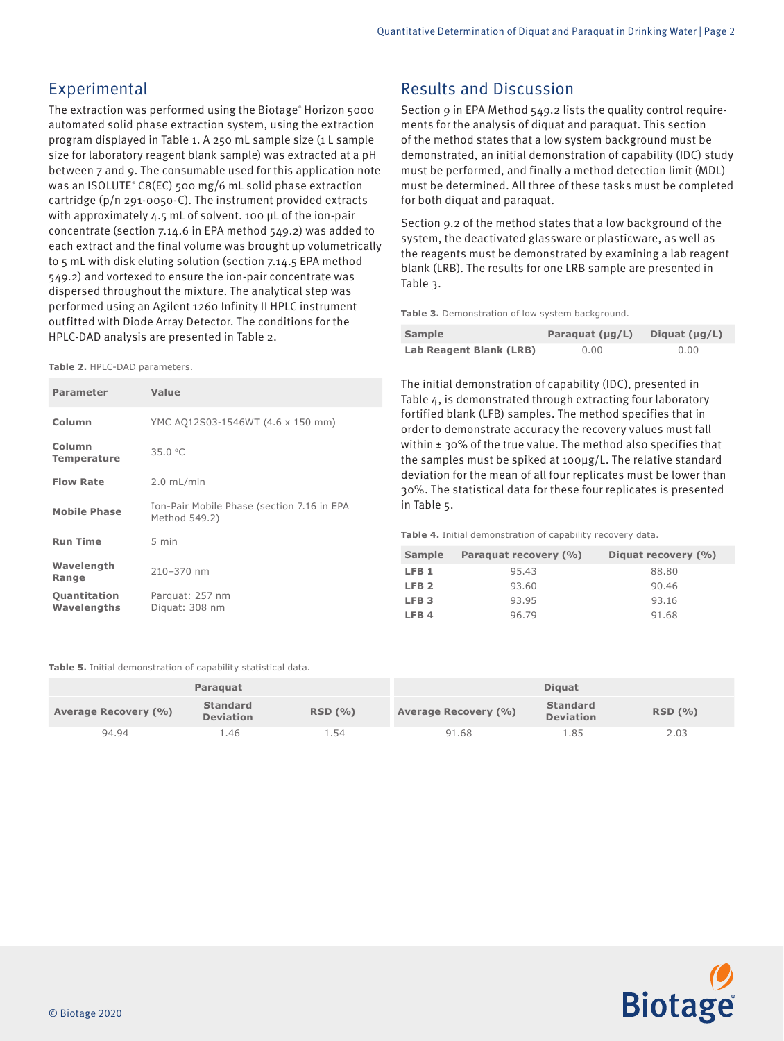# Experimental

The extraction was performed using the Biotage® Horizon 5000 automated solid phase extraction system, using the extraction program displayed in Table 1. A 250 mL sample size (1 L sample size for laboratory reagent blank sample) was extracted at a pH between 7 and 9. The consumable used for this application note was an ISOLUTE® C8(EC) 500 mg/6 mL solid phase extraction cartridge (p/n 291-0050-C). The instrument provided extracts with approximately 4.5 mL of solvent. 100 µL of the ion-pair concentrate (section 7.14.6 in EPA method 549.2) was added to each extract and the final volume was brought up volumetrically to 5 mL with disk eluting solution (section 7.14.5 EPA method 549.2) and vortexed to ensure the ion-pair concentrate was dispersed throughout the mixture. The analytical step was performed using an Agilent 1260 Infinity II HPLC instrument outfitted with Diode Array Detector. The conditions for the HPLC-DAD analysis are presented in Table 2.

**Table 2.** HPLC-DAD parameters.

| <b>Parameter</b>             | Value                                                       |
|------------------------------|-------------------------------------------------------------|
| Column                       | YMC AQ12S03-1546WT (4.6 x 150 mm)                           |
| Column<br><b>Temperature</b> | 35.0 °C                                                     |
| <b>Flow Rate</b>             | $2.0$ mL/min                                                |
| <b>Mobile Phase</b>          | Ion-Pair Mobile Phase (section 7.16 in EPA<br>Method 549.2) |
| <b>Run Time</b>              | 5 min                                                       |
| Wavelength<br>Range          | 210-370 nm                                                  |
| Quantitation<br>Wavelengths  | Parguat: 257 nm<br>Diguat: 308 nm                           |

**Table 5.** Initial demonstration of capability statistical data.

|                      | Paraguat                            |        | <b>Diquat</b>        |                                     |        |  |
|----------------------|-------------------------------------|--------|----------------------|-------------------------------------|--------|--|
| Average Recovery (%) | <b>Standard</b><br><b>Deviation</b> | RSD(%) | Average Recovery (%) | <b>Standard</b><br><b>Deviation</b> | RSD(%) |  |
| 94.94                | L.46                                | 54ء -  | 91.68                | 1.85                                | 2.03   |  |



## Results and Discussion

Section 9 in EPA Method 549.2 lists the quality control requirements for the analysis of diquat and paraquat. This section of the method states that a low system background must be demonstrated, an initial demonstration of capability (IDC) study must be performed, and finally a method detection limit (MDL) must be determined. All three of these tasks must be completed for both diquat and paraquat.

Section 9.2 of the method states that a low background of the system, the deactivated glassware or plasticware, as well as the reagents must be demonstrated by examining a lab reagent blank (LRB). The results for one LRB sample are presented in Table 3.

**Table 3.** Demonstration of low system background.

| Sample                  | Paraquat $(\mu g/L)$ | Diquat $(\mu g/L)$ |
|-------------------------|----------------------|--------------------|
| Lab Reagent Blank (LRB) | 0.00                 | 0.00               |

The initial demonstration of capability (IDC), presented in Table 4, is demonstrated through extracting four laboratory fortified blank (LFB) samples. The method specifies that in order to demonstrate accuracy the recovery values must fall within ± 30% of the true value. The method also specifies that the samples must be spiked at 100µg/L. The relative standard deviation for the mean of all four replicates must be lower than 30%. The statistical data for these four replicates is presented in Table 5.

**Table 4.** Initial demonstration of capability recovery data.

| Sample           | Paraguat recovery (%) | Diquat recovery (%) |
|------------------|-----------------------|---------------------|
| LFB <sub>1</sub> | 95.43                 | 88.80               |
| LFB <sub>2</sub> | 93.60                 | 90.46               |
| LFB <sub>3</sub> | 93.95                 | 93.16               |
| LFB <sub>4</sub> | 96.79                 | 91.68               |